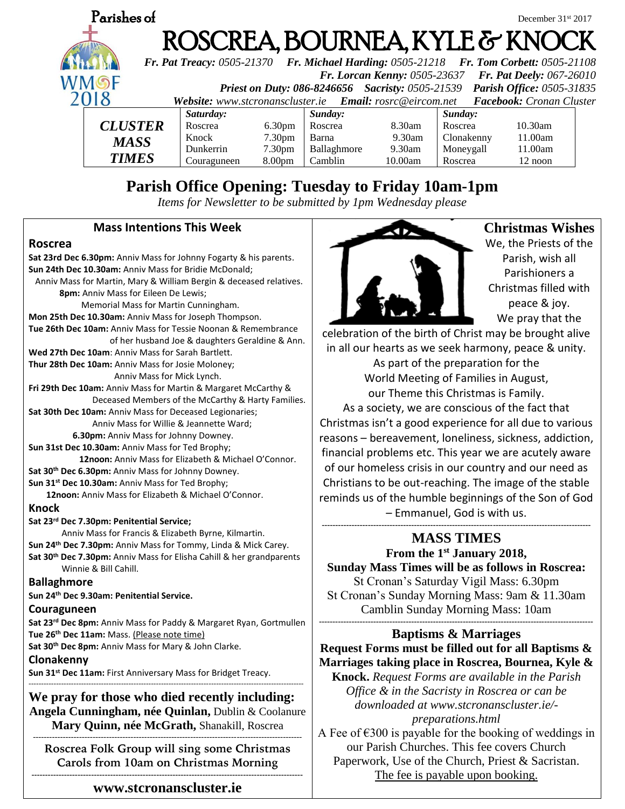

# **Parish Office Opening: Tuesday to Friday 10am-1pm**

*Items for Newsletter to be submitted by 1pm Wednesday please*

### **Mass Intentions This Week**

#### **Roscrea**

**Sat 23rd Dec 6.30pm:** Anniv Mass for Johnny Fogarty & his parents. **Sun 24th Dec 10.30am:** Anniv Mass for Bridie McDonald; Anniv Mass for Martin, Mary & William Bergin & deceased relatives.  **8pm:** Anniv Mass for Eileen De Lewis; Memorial Mass for Martin Cunningham. **Mon 25th Dec 10.30am:** Anniv Mass for Joseph Thompson. **Tue 26th Dec 10am:** Anniv Mass for Tessie Noonan & Remembrance of her husband Joe & daughters Geraldine & Ann. **Wed 27th Dec 10am**: Anniv Mass for Sarah Bartlett. **Thur 28th Dec 10am:** Anniv Mass for Josie Moloney; Anniv Mass for Mick Lynch. **Fri 29th Dec 10am:** Anniv Mass for Martin & Margaret McCarthy & Deceased Members of the McCarthy & Harty Families. **Sat 30th Dec 10am:** Anniv Mass for Deceased Legionaries; Anniv Mass for Willie & Jeannette Ward;  **6.30pm:** Anniv Mass for Johnny Downey. **Sun 31st Dec 10.30am:** Anniv Mass for Ted Brophy;  **12noon:** Anniv Mass for Elizabeth & Michael O'Connor. **Sat 30th Dec 6.30pm:** Anniv Mass for Johnny Downey. **Sun 31st Dec 10.30am:** Anniv Mass for Ted Brophy;  **12noon:** Anniv Mass for Elizabeth & Michael O'Connor. **Knock Sat 23rd Dec 7.30pm: Penitential Service;**  Anniv Mass for Francis & Elizabeth Byrne, Kilmartin. **Sun 24th Dec 7.30pm:** Anniv Mass for Tommy, Linda & Mick Carey. **Sat 30th Dec 7.30pm:** Anniv Mass for Elisha Cahill & her grandparents Winnie & Bill Cahill. **Ballaghmore Sun 24th Dec 9.30am: Penitential Service. Couraguneen Sat 23rd Dec 8pm:** Anniv Mass for Paddy & Margaret Ryan, Gortmullen **Tue 26th Dec 11am:** Mass. (Please note time) **Sat 30th Dec 8pm:** Anniv Mass for Mary & John Clarke. **Clonakenny Sun 31st Dec 11am:** First Anniversary Mass for Bridget Treacy. -------------------------------------------------------------------------------------------------------------- **We pray for those who died recently including: Angela Cunningham, née Quinlan,** Dublin & Coolanure **Mary Quinn, née McGrath,** Shanakill, Roscrea ---------------------------------------------------------------------------------------------------

**Roscrea Folk Group will sing some Christmas Carols from 10am on Christmas Morning ----------------------------------------------------------------------------------------------------**

**www.stcronanscluster.ie**



**Christmas Wishes** We, the Priests of the Parish, wish all Parishioners a Christmas filled with peace & joy.

We pray that the

celebration of the birth of Christ may be brought alive in all our hearts as we seek harmony, peace & unity.

As part of the preparation for the World Meeting of Families in August, our Theme this Christmas is Family.

As a society, we are conscious of the fact that Christmas isn't a good experience for all due to various reasons – bereavement, loneliness, sickness, addiction, financial problems etc. This year we are acutely aware of our homeless crisis in our country and our need as Christians to be out-reaching. The image of the stable reminds us of the humble beginnings of the Son of God – Emmanuel, God is with us.

# **--------------------------------------------------------------------------------------------------- MASS TIMES**

**From the 1st January 2018, Sunday Mass Times will be as follows in Roscrea:** St Cronan's Saturday Vigil Mass: 6.30pm St Cronan's Sunday Morning Mass: 9am & 11.30am Camblin Sunday Morning Mass: 10am **-----------------------------------------------------------------------------------------------------**

# **Baptisms & Marriages**

**Request Forms must be filled out for all Baptisms & Marriages taking place in Roscrea, Bournea, Kyle & Knock.** *Request Forms are available in the Parish Office & in the Sacristy in Roscrea or can be downloaded at www.stcronanscluster.ie/ preparations.html*

A Fee of  $\epsilon$ 300 is payable for the booking of weddings in our Parish Churches. This fee covers Church Paperwork, Use of the Church, Priest & Sacristan. The fee is payable upon booking.